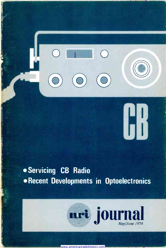**Servicing CB Radio** Recent Developments in Optoelectronics





HK.

www.americanradiohistory.com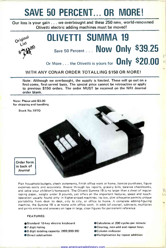# SAVE 50 PERCENT... OR MORE!

Our loss is your gain ... we overbought and these 250 new, world-renowned Olivetti electric adding machines must be moved!



# OLIVETTI SUMMA 19 Save 50 Percent ... Now Only \$39.25

Or More . . . the Olivetti is yours for **Only \$20.00** 

#### WITH ANY CONAR ORDER TOTALLING \$150 OR MORE!

Note: Although we overbought, the supply is limited. These will go out on a first-come, first-served basis. The special price cannot be retroactive or apply to previous \$150 orders. The order MUST be received on the NRI Journal order blank.

Note: Please add \$3.00 for shipping and handling



Plan household budgets, check statements, finish office work at home, itemize purchases, figure expenses easily and accurately. Breeze through tax reports, grocery bills, balance checkbooks, and solve your children's homework. The Olivetti Summa 19 is no larger than a sheet of regular typing paper, weighs under 8 pounds, yet offers all the important features, speed and touch operation usually found only in higher -priced machines. Its low, slim silhouette permits unique portability from desk to desk, city to city, or office to home. A complete adding -figuring machine, the Summa 19 is at home with office work. It adds (of course), subtracts, multiplies and prints entries and answers on tape in large, clear figures for permanent reference.

#### FEATURES:

- ●Standard 10-key electric keyboard<br>●7 digit listing<br>●8 digit totaling capacity (999,999.99)
- 
- 
- Direct subtraction
- Calculates at 200 cycles per minute
- Clearing, non -add and repeat keys
	- Column indicator
	- Multiplication by repeat addition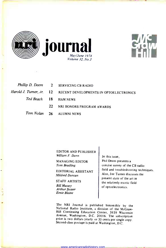



|  | Phillip D. Deem 2 SERVICING CB RADIO                            |
|--|-----------------------------------------------------------------|
|  | Harold J. Turner, Jr. 12 RECENT DEVELOPMENTS IN OPTOELECTRONICS |
|  | Ted Beach 18 HAM NEWS                                           |
|  | 22 NRI HONORS PROGRAM AWARDS                                    |
|  | Tom Nolan 26 ALUMNI NEWS                                        |

EDITOR AND PUBLISHER William F. Dunn

MANAGING EDITOR Tom Beadling

EDITORIAL ASSISTANT Mildred Duncan

STAFF ARTISTS Bill Massey Arthur Susser Ernie Blaine

In this issue, Phil Deem presents a concise survey of the CB radio field and troubleshooting techniques. Also, Joe Turner discusses the present state of the art in the relatively exotic field of optoelectronics.

The NRI Journal is published bimonthly by the National Radio Institute, a division of the McGraw-Hill Continuing Education Center, 3939 Wisconsin<br>Avenue, Washington, D.C. 20016. The subscription price is two dollars yearly or 35 cents per single copy.<br>Second-class postage is paid at Washington, D.C.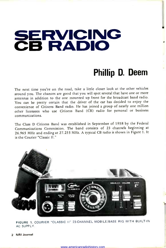# SERVICING<br>CB RADIO

### Phillip D. Deem

The next time you're on the road, take a little closer look at the other vehicles around you. The chances are good that you will spot several that have one or more antennas in addition to the one mounted up front for the broadcast band radio. You can be pretty certain that the driver of the car has decided to enjoy the convenience of Citizens Band radio. He has joined a group of nearly one million other licensees who use Citizens Band (CB) radio for personal or business communications.

The Class D Citizens Band was established in September of 1958 by the Federal Communications Commission. The band consists of 23 channels beginning at 26.965 MHz and ending at 27.255 MHz. A typical CB radio is shown in Figure 1. It is the Courier "Classic II."



FIGURE 1. COURIER "CLASSIC II" 23-CHANNEL MOBILE/BASE RIG WITH BUILT-IN AC SUPPLY.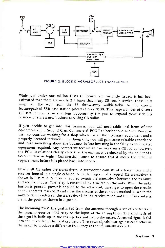

FIGURE 2. BLOCK DIAGRAM OF A CB TRANSCEIVER.

While just under one million Class D licenses are currently issued, it has been estimated that there are nearly 2.5 times that many CB sets in service. These units range all the way from the \$5 throw -away walkie-talkie to the exotic, feature -packed SSB base station priced at over \$500. This large number of diverse CB sets represents an excellent opportunity for you to expand your servicing business or start a new business servicing CB radios.

If you decide to get into this business, you will need additional items of test equipment and a Second Class Commercial FCC Radiotelephone license. You may wish to consider working for a shop which has all the necessary equipment and a properly licensed technician. By doing this, you will gain some valuable experience and learn something about the business before investing in equipment required. Any competent technician can work on a CB radio; however, the FCC Regulations clearly state that the unit must be checked by the holder of a Second Class or higher Commercial license to ensure that it meets the technical requirements before it is placed back into service.

Nearly all CB radios are transceivers. A transceiver consists of a transmitter and a receiver housed in a single cabinet. A block diagram of a typical CB transceiver is shown in Figure 2. A relay is used to switch the transceiver between the transmit and receive modes. The relay is controlled by a switch on the mike. When the mike button is pressed, power is applied to the relay coil, causing it to open the circuits at the contacts marked R and close the circuits at the contacts marked T. When the mike button is released, the transceiver is in the receive mode and the relay contacts are in the position shown in Figure 2.

The incoming 27 -MHz signal is fed from the antenna through a set of contacts on the transmit/receive (TR) relay to the input of the rf amplifier. The amplitude of the signal is built up in the rf amplifier and fed to the mixer. A second signal is fed into the mixer from the local oscillator. These two signals beat against each other in the mixer to produce a difference frequency at the i-f, usually 455 kHz.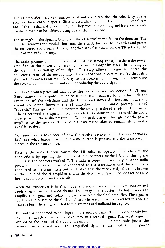The i-f amplifier has a very narrow passband and establishes the selectivity of the receiver. Frequently, a special filter is used ahead of the i-f amplifier. These filters are of the mechanical or crystal type. They require no tuning and have a narrower passband than can be achieved using i-f transformers alone.

The strength of the signal is built up in the i-f amplifier and fed to the detector. The detector removes the modulation from the signal, discards the i-f carrier and passes the recovered audio signal through another set of contacts on the TR relay to the input of the audio preamp.

The audio preamp builds up the signal until it is strong enough to drive the power amplifier. In the power amplifier stage we are no longer interested in building up the amplitude or voltage of the signal. This stage allows the signal to control the collector current of the output stage. These variations in current are fed through <sup>a</sup>third set of contacts on the TR relay to the speaker. The changes in current cause the speaker cone to move in and out, reproducing the audio signal.

You have probably noticed that up to this point, the receiver section of a Citizens Band transceiver is quite similar to a standard broadcast band radio with the exception of the switching and the frequencies involved. However, notice the circuit connected between the i-f amplifier and the audio preamp marked "squelch." This special circuit monitors the activity in the i-f amplifier. If no signal is being received, the squelch circuit detects this condition and turns off the audio preamp. When the audio preamp is off, no signals can get through it or the power amplifier to the speaker. The circuit allows the speaker to remain silent until <sup>a</sup>signal is received.

You now have a basic idea of how the receiver section of the transceiver works. Let's see what happens when the mike button is pressed and the transceiver is placed in the transmit mode.

Pressing the mike button causes the TR relay to operate. This changes the connections by opening the circuits at the contacts marked R and closing the circuits at the contacts marked T. The mike is connected to the input of the audio preamp, the power amplifier is connected to the transmitter and the antenna is connected to the transmitter output. Notice that the receiver signal path is broken at the input of the rf amplifier and at the detector output. The speaker has also been disconnected from the circuit.

When the transceiver is in this mode, the transmitter oscillator is turned on and feeds a signal on the desired channel frequency to the buffer. The buffer serves to amplify the signal and isolate the oscillator from the final amplifier. The signal is fed from the buffer to the final amplifier where its power is increased to about <sup>4</sup> watts or less. The rf signal is fed to the antenna and radiated into space.

The mike is connected to the input of the audio preamp. The operator speaks into the mike, which converts his voice into an electrical signal. This weak signal is applied to the input of the audio preamp and built up in amplitude, just as the received audio signal was. The amplified signal is then fed to the power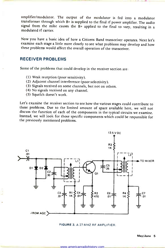amplifier/modulator. The output of the modulator is fed into a modulator transformer through which B+ is supplied to the final rf power amplifier. The audio signal from the mike causes the B+ applied to the final to vary, resulting in a modulated rf carrier.

Now you have a basic idea of how a Citizens Band transceiver operates. Next let's examine each stage a little more closely to see what problems may develop and how these problems would affect the overall operation of the transceiver.

#### RECEIVER PROBLEMS

Some of the problems that could develop in the receiver section are:<br>(1) Weak reception (poor sensitivity).

- 
- (2) Adjacent channel interference (poor selectivity).
- (3) Signals received on some channels, but not on others.
- (4) No signals received on any channel.
- (5) Squelch doesn't work.

Let's examine the receiver section to see how the various stages could contribute to these problems. Due to the limited amount of space available here, we will not discuss the function of each of the components in the typical circuits we examine. Instead, we will look for those specific components which could be responsible for the previously mentioned problems.



FIGURE 3. A 27-MHZ RF AMPLIFIER.

11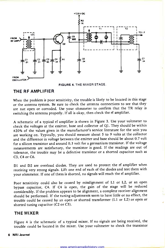

#### FIGURE 4. THE MIXER STAGE.

#### THE RF AMPLIFIER

When the problem is poor sensitivity, the trouble is likely to be located in this stage or the antenna system. Be sure to check the antenna connections to see that they are not open or corroded. Use your ohmmeter to confirm that the TR relay is switching the antenna properly. If all is okay, then check the rf amplifier.

<sup>A</sup>schematic of a typical rf amplifier is shown in Figure 3. Use your voltmeter to check the voltages at the emitter, base and collector of Ql. They should be within ±20% of the values given in the manufacturer's service literature for the unit you are working on. Typically, you should measure about 5 to 9 volts at the collector and the difference in voltage between the emitter and base should be about 0.7 volt for a silicon transistor and around 0.3 volt for a germanium transistor. If the voltage measurements are satisfactory, the transistor is good. If the readings are out of tolerance, the trouble may be a defective transistor or a shorted capacitor such as C3, C4 or C6.

Dl and D2 are overload diodes. They are used to protect the rf amplifier when receiving very strong signals. Lift one end of each of the diodes and test them with your ohmmeter. If one of them is shorted, no signals will reach the rf amplifier.

Poor sensitivity could also be caused by misalignment of Ll or L2, or an open bypass capacitor, C4. If C4 is open, the gain of the stage will be reduced considerably. If the problem appears to be alignment, a complete receiver alignment should be performed. If the tuning adjustments seem to have little or no effect, the trouble could be caused by an open or shorted transformer (L1 or L2) or open or shorted tuning capacitor (C2 or C5).

#### THE MIXER

Figure 4 is the schematic of a typical mixer. If no signals are being received, the trouble could be located in the mixer. Use your voltmeter to check the transistor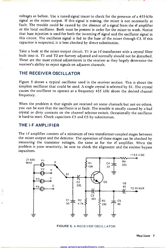voltages as before. Use a tuned signal tracer to check for the presence of a 455 -kHz signal at the mixer output. If this signal is missing, the mixer is not necessarily at fault. The trouble could be caused by the absence of a signal from the rf amplifier or the local oscillator. Both must be present in order for the mixer to work. Notice that base injection is used for both the incoming rf signal and the oscillator signal in this circuit. The oscillator signal is fed to the base of the mixer through C3. If this capacitor is suspected, it is best checked by direct substitution.

Take a look at the mixer output circuit. T1 is an i-f transformer with a crystal filter built into it. Ti and T2 are factory adjusted and normally should not be disturbed. These are the most critical adjustments in the receiver as they largely determine the receiver's ability to reject signals on adjacent channels.

#### THE RECEIVER OSCILLATOR

Figure 5 shows a typical oscillator used in the receiver section. This is about the simplest oscillator that could be used. A single crystal is selected by S1. The crystal causes the oscillator to operate at a frequency 455 kHz above the desired channel frequency.

When the problem is that signals are received on some channels but not on others, you can be sure that the oscillator is at fault. The trouble is usually caused by a bad crystal or dirty contacts on the channel selector switch. Occasionally the oscillator is hard to start. Check capacitors C3 and C5 by substitution.

#### THE I-F AMPLIFIER

The i-f amplifier consists of a minimum of two transformer-coupled stages between the mixer output and the detector. The operation of these stages can be checked by measuring the transistor voltages, the same as for the rf amplifier. When the problem is poor sensitivity, be sure to check the alignment and the emitter bypass capacitors.



FIGURE 5. A RECEIVER OSCILLATOR.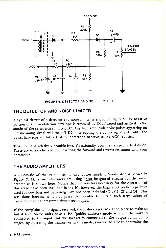

FIGURE 6. DETECTOR AND NOISE LIMITER.

#### THE DETECTOR AND NOISE LIMITER

<sup>A</sup>typical circuit of a detector and noise limiter is shown in Figure 6. The negative portion of the modulation envelope is removed by Dl, filtered and applied to the anode of the series noise limiter, D2. Any high -amplitude noise pulses appearing on the incoming signal will cut off D2, interrupting the audio signal path until the pulses have passed. Notice that the detector also serves as the AGC rectifier.

This circuit is relatively trouble -free. Occasionally you may suspect a bad diode. These are easily checked by measuring the forward and reverse resistance with your ohmmeter.

#### THE AUDIO AMPLIFIERS

<sup>A</sup>schematic of the audio preamp and power amplifier/modulator is shown in Figure 7. Many manufacturers are using linear integrated circuits for the audio preamp as is shown here. Notice that the resistors necessary for the operation of this stage have been included in the IC; however, the large electrolytic capacitors used for coupling and bypassing have not been included (C1, C2, C3 and C4). This was done because it is not presently possible to obtain such large values of capacitance using integrated circuit techniques.

If the complaint is no signals received, the audio stages are a good place to make an initial test. Some units have a PA (public address) mode wherein the mike is connected to the input and the speaker is connected to the output of the audio stages. By operating the transceiver in this mode, you will be able to determine the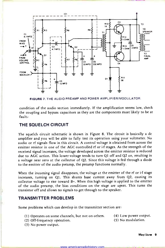

FIGURE 7. THE AUDIO PREAMP AND POWER AMPLIFIER/MODULATOR.

condition of the audio section immediately. If the amplification seems low, check the coupling and bypass capacitors as they are the components most likely to be at fault..

#### THE SQUELCH CIRCUIT

The squelch circuit schematic is shown in Figure 8. The circuit is basically a dc amplifier and you will be able to fully test its operation using your voltmeter. No audio or rf signals flow in this circuit. A control voltage is obtained from across the emitter resistor in one of the AGC controlled rf or i-f stages. As the strength of the received signal increases, the voltage developed across the emitter resistor is reduced due to AGC action. This lower voltage tends to turn Ql off and Q2 on, resulting in a voltage near zero at the collector of Q2. Since this voltage is fed through a diode to the emitter of the audio preamp, the preamp functions normally.

When the incoming signal disappears, the voltage at the emitter of the rf or i-f stage increases, turning on Ql. This shunts base current away from Q2, causing its collector voltage to rise toward B+. When this high voltage is applied to the emitter of the audio preamp, the bias conditions on the stage are upset. This turns the transistor off and allows no signals to get through to the speaker.

#### TRANSMITTER PROBLEMS

Some problems which can develop in the transmitter section are:

- (1) Operates on some channels, but not on others.
- (4) Low power output.
- (2) Off-frequency operation.
- (3) No power output.

(5) No modulation.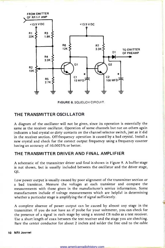

FIGURE 8. SQUELCH CIRCUIT.

#### THE TRANSMITTER OSCILLATOR

A diagram of the oscillator will not be given, since its operation is essentially the same as the receiver oscillator. Operation of some channels but not on others again indicates a bad crystal or dirty contacts on the channel selector switch, just as it did in the receiver section. Off-frequency operation is caused by a bad crystal. Install a new crystal and check for the correct output frequency using a frequency counter having an accuracy of ±0.0025% or better.

#### THE TRANSMITTER DRIVER AND FINAL AMPLIFIER

A schematic of the transmitter driver and final is shown in Figure 9. A buffer stage is not shown, but is usually included between the oscillator and the driver stage,  $Q1$ .

Low power output is usually caused by poor alignment of the transmitter section or a bad transistor. Measure the voltages at each transistor and compare the measurements with those given in the manufacturer's service information. Some manufacturers include rf voltage measurements which are helpful in determining whether a particular stage is amplifying the rf signal sufficiently.

A complete absence of power output can be caused by almost any stage in the transmitter. If you do not have an rf probe for your voltmeter, you can check for the presence of a signal in each stage by using a second CB radio as a test receiver. Use a short length of coax between the test receiver and the stage you are checking. Bare the center conductor for about 2 inches and solder the free end to the cable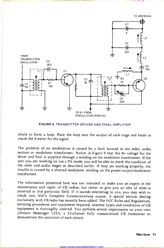

FIGURE 9. TRANSMITTER DRIVER AND FINAL AMPLIFIER.

shield to form a loop. Place the loop near the output of each stage and listen or check the S-meter for the signal.

The problem of no modulation is caused by a fault located in the mike, audio section or modulator transformer. Notice in Figure 9 that the B+ voltage for the driver and final is supplied through a winding on the modulator transformer. If the unit you are working on has a PA mode, you will be able to check the condition of the mike and audio stages as described earlier. If they are working properly, the trouble is caused by a shorted modulator winding on the power output/modulator transformer.

The information presented here was not intended to make you an expert in the maintenance and repair of CB radios, but rather to give you an idea of what is involved in this particular field. If it sounds interesting to you, you may wish to exclusively with CB radio has recently been added. The FCC Rules and Regulations, servicing procedures and equipment required, antenna types and installation of CB equipment is thoroughly covered. You perform several exper Johnson Messenger 123A, a 23-channel fully transistorized CB transceiver to demonstrate the operation of each circuit.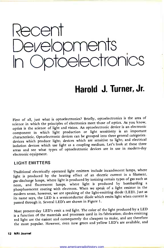

# Harold J. Turner, Jr.

First of all, just what is optoelectronics? Briefly, optoelectronics is the area of science in which the principles of electronics meet those of optics. As you know, optics is the science of light and vision. An optoelectronic device is an electronic component in which light production or light sensitivity is an important characteristic. Optoelectronic devices can be grouped into three general categories: devices which produce light; devices which are sensitive to light; and electrical isolation devices which use light as a coupling medium. Let's look at these three areas and see what types of optoelectronic devices are in use in modern-day electronic equipment.

#### LIGHT EMITTERS

Ttaditional electrically operated light emitters include incandescent lamps, where light is produced by the heating effect of an electric current in a filament, gas -discharge lamps, where light is produced by ionizing certain types of gas such as neon, and fluorescent lamps, where light is produced by bombarding <sup>a</sup>phosphorescent coating with electrons. When we speak of a light emitter in the modern sense, however, we are speaking of the light -emitting diode (LED). Just as its name says, the LED is a semiconductor diode which emits light when current is passed through it. Several LED's are shown in Figure 1.

Most present-day LED's emit a red light. The color of the light produced by a LED is a function of the materials and processes used in its fabrication; diodes emitting red light are the easiest and consequently the cheapest to make, and are therefore the most popular. However, even now green and yellow LED's are available, and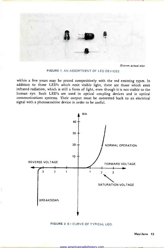

Shown actual size.

FIGURE 1. AN ASSORTMENT OF LED DEVICES.

within a few years may be priced competitively with the red emitting types. In addition to those LED's which emit visible light, there are those which emit infrared radiation, which is still a form of light, even though it is not visible to the human eye. Such LED's are used in optical coupling devices and in optical communications systems. Their output must be converted back to an electrical signal with a photosensitive device in order to be useful.



FIGURE 2. E-I CURVE OF TYPICAL LED.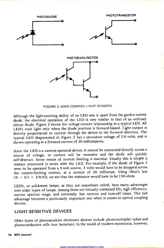

FIGURE 3. SOME COMMON LIGHT SENSORS.

Although the light -emitting ability of an LED sets it apart from the garden-variety diode, the electrical operation of the LED is very similar to that of an ordinary silicon diode. Figure 2 shows the voltage -current relationship in a typical LED. All LED's emit light only when the diode junction is forward -biased. Light output is directly proportional to current through the device in the forward direction. The typical LED diagrammed in Figure 2 has a saturation voltage of 2.0 volts, and is shown operating at a forward current of 20 milliamperes.

Since the LED is a current -operated device, it cannot be connected directly across <sup>a</sup>source of voltage, or current will be excessive and the diode will quickly self-destruct. Some means of current limiting is essential. Usually this is simply <sup>a</sup>resistor connected in series with the LED. For example, if the diode of Figure <sup>2</sup>were to be operated from a 5-volt source, 3 volts would have to be dropped across the current -limiting resistor, at a current of 20 milliamps. Using Ohm's law  $(R = E/I = 3/0.02)$ , we see that the resistance would have to be 150 ohms.

LED's, or solid-state lamps, as they are sometimes called, have many advantages over older types of lamps. Among these are virtually unlimited life, high efficiency, narrow spectral range, and extremely fast turn -on and turn-off times. This last advantage becomes a particularly important one when it comes to optical coupling devices.

#### LIGHT-SENSITIVE DEVICES

Older types of photosensitive electronic devices include photomultiplier tubes and photoconductive cells (sun batteries). In the world of modern electronics, however,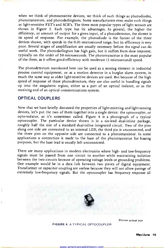when we think of photosensitive devices, we think of such things as photodiodes, phototransistors, and photodarlingtons. Some manufacturers even make such things as light-sensitive FET's and SCR's. The three most popular types of light sensors are shown in Figure 3. Each type has its advantages. In general, the higher the efficiency, or amount of output for a given input, of a photodetector, the slower is its speed of response. For example, the photodiode is the fastest of the three devices shown, with speeds in the 0.01 -microsecond range, but its efficiency is very poor. Several stages of amplification are usually necessary before the signal can do useful work. The photodarlington has high gain, but it suffers from slow response, typically on the order of 50 microseconds. The phototransistor is the most popular of the three, as it offers good efficiency with moderate (1 -microsecond) speed.

The photodetectors mentioned here can be used as a sensing element in industrial process control equipment, or as a motion detector in a burglar alarm system, in much the same way as older light-sensitive devices are used. But because of the high speed of response of these photodetectors, they are also useful in handling signals up into the megahertz region, either as a part of an optical isolator, or as the receiving end of an optical communications system.

#### OPTICAL COUPLERS

ť

Now that we have briefly discussed the properties of light-emitting and light-sensing devices, let's put the two of them together into a single device: the optocoupler, or opto-isolator, as it's sometimes called. Figure 4 is a photograph of a typical optocoupler. The particular device shown is in a six -lead dual-inline package, roughly half the size of a standard dual-inline integrated circuit. Two of the pins along one side are connected to an internal LED, the third pin is unconnected, and the three pins on the opposite side are connected to a phototransistor. In some applications a connection is made to the base of the phototransistor for biasing purposes, but the base lead is usually left unconnected.

There are many applications in modern electronics where high- and low-frequency signals must be passed from one circuit to another while maintaining isolation between the two circuits because of operating voltage levels or grounding problems. One example would be in a data link between two pieces of digital equipment. Transformer or capacitor coupling are useless because they will not allow passage of extremely low -frequency signals. But the optocoupler has frequency response all



Shown actual size

FIGURE 4. A TYPICAL OPTOCOUPLER.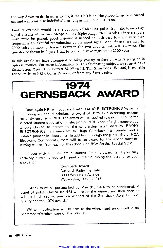the way down to dc. In other words, if the LED is on, the phototransistor is turned on, and will remain so indefinitely, as long as the input LED is on.

Another example would be the coupling of blanking pulses from the low -voltage signal circuits of an oscilloscope to the high -voltage CRT circuits. Since a square wave must be passed, good response is needed at both very low and very high frequencies for faithful reproduction of the input signal. And, since there may be 2000 volts or more difference between the two circuits, isolation is a must. The tiny device shown in Figure 4 can be operated at voltages up to 2500 volts.

In this article we have attempted to bring you up to date on what's going on in optoelectronics. For more information on this fascinating subject, we suggest LED Circuits and Projects by Forrest M. Mims III. This Sams book, #21006, is available for \$4.95 from NRI's Conar Division, or from any Sams dealer.

# 1974 GERNSBACK AWARD

Once again NRI will cooperate with RADIO -ELECTRONICS Magazine in making an annual scholarship award of \$125 to a deserving student currently enrolled in NRI. The award will be applied toward furthering the selected student's education in electronics. NRI is one of eight home -study schools chosen to perpetuate the scholarship established by RADIO-ELECTRONICS in memoriam to Hugo Gernsback, its founder and <sup>a</sup>notable pioneer in electronics. In addition, through the generosity of RCA Electronic Components, there will be an award for the second most deserving student from each of the schools, an RCA Service Special VOM.

If you wish to nominate a student for this award (and you may certainly nominate yourself), send a letter outlining the reasons for your choice to:

> Gernsback Award National Radio Institute 3939 Wisconsin Avenue Washington, D.C. 20016

Entries must be postmarked by May 31, 1974 to be considered. A panel of judges chosen by NRI will select the winner, and their decision will be final. (Sorry, previous winners of the Gernsback Award do not qualify for the 1974 awards.)

Written notification will be sent to the winner and announced in the September/October issue of the Journal.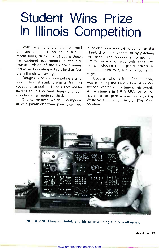# Student Wins Prize In Illinois Competition

With certainly one of the most mod ern and unique science fair entries in recent times, NRI student Douglas Dudek has captured top honors in the electronics division of the sixteenth annual terns, including such special effects as Industrial Education exhibit held at Northern Illinois University.

Douglas, who was competing against 772 individual student entries from <sup>61</sup> vocational schools in Illinois, received his awards for his original design and con struction of an audio synthesizer.

The synthesizer, which is composed of 24 separate electronic panels, can pro-

duce electronic musical notes by use of a standard piano keyboard, or by patching the panels can produce an almost unlimited variety of electronic tone patthunder, drum rolls, and a helicopter in flight.

Douglas, who is from Peru, Illinois, was attending the LaSalle-Peru Area Vocational center at the time of his award. An A student in NRI's SEA course, he has since accepted a position with the Westclox Division of General Time Corporation.



NRI student Douglas Dudek and his prize-winning audio synthesizer.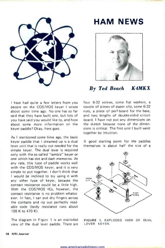

### HAM NEWS



By Ted Beach K4MKX

<sup>I</sup>have had quite a few letters from you people on the COS/MOS keyer I wrote about some time ago. No one has so far said that they have built one, but lots of you have said you would like to, and how about some more information on the keyer paddle? Okay, here goes.

As I mentioned some time ago, the basic keyer paddle that I dreamed up is a dual lever unit that is really not needed for the simple keyer. The dual lever is required only with the so called "iambic" keyer or one which has dot and dash memories. At any rate, this type of paddle works well with the COS/MOS keyer, and it is very simple to put together. I don't think that <sup>I</sup>would be inclined to try using it with any other type of keyer, because the contact resistance could be a little high. With the COS/MOS ICs, however, the contact resistance is no problem whatso ever. In fact, I can put dry fingers across the contacts and rip out perfectly readable code (body resistance runs about 100 K to 470 K).

The diagram in Figure 1 is an exploded view of the dual lever paddle. There are four 6-32 screws, some flat washers, a couple of pieces of paper clip, some 6-32 nuts, a piece of perf-board for the base, and two lengths of double-sided circuit board. I have not put any dimensions on the sketch because none of the dimensions is critical. The first unit I built went together by intuition.

A good starting point for the paddles themselves is about half the size of <sup>a</sup>



FIGURE 1. EXPLODED VIEW OF DUAL LEVER KEYER.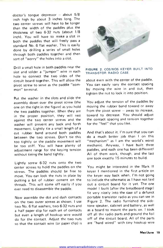doctor's tonque depressor - about  $5/8$ inch high by about 3 inches long. The two center screws will have to be longer than the width of the paddles plus the thickness of two 6-32 nuts (about 1/8 inch). You will have to make a slot in both the paddles that will freely pass a standard No. 6 flat washer. This is easily done by drilling a series of small holes through both paddles together and then sort of "worry" the holes into a slot.

Drill a small hole in both paddles near the slot and solder a "jumper'" wire in each hole to connect the two sides of the circuit board together. This will allow the pivot screw to serve as the paddle "common" terminal.

Put the washer in the slots and slide the assembly down over the pivot screw (the one on the right in the figure) as you hold the two paddles together. When they are in the proper position, they will rest against the two center screws and the washer will prevent any back and forth movement. Lightly tie a small length of a cut rubber band around both paddles between the two screws. Don't tie this too tightly or the paddle movement will be too stiff. You will have plenty of adjustment range for the keying tension build paddles, and each one has been different!<br>Without tieing the band tightly and All of them work, though, and the last without tieing the band tightly.

Lightly screw 6-32 nuts onto the two center screws to hold the paddles on the screws. The paddles should be free to move. You can lock the nuts in place by putting a bit of rubber cement on the threads. This will come off easily if you ever need to disassemble the paddle.

Now assemble the dot and dash contacts on the two outer screws as shown. I use two No. 6 flat washers, two 6-32 nuts and a half paper clip for each set of contacts but even a length of hookup wire would do for the contact. Adjust the two nuts so that the contact wire (or paper clip) is



#### FIGURE 2. COS/MOS KEYER BUILT INTO TRANSISTOR RADIO CASE.

about even with the center of the paddle. You can easily vary the contact spacing by moving the wire in and out, then tighten the nut to lock it into position.

You adjust the tension of the paddles by moving the rubber band toward or away from the pivot screw  $-$  away to increase, toward to decrease. You should adjust the contact spacing and tension together for the "feel" that you like.

And that's about it. I'm sure that you can do a much better job than I on this "mechanism" as I am the world's worst mechanic. Anyway, I have built three paddles, and each one has been different! one took exactly 15 minutes to build.

You might be interested in the Mark II keyer I mentioned in the first article on the keyer way back when. I'm not going to include the schematic as I have not laid out a circuit board for it yet. The one model I built (after the breadboard stage) fit very nicely into the case of a defunct portable transistor radio as you can see in Figure 2. The radio furnished the sidetone speaker, cabinet and battery, as well as a board to mount the parts on. I took off all the radio parts and ground the foil off of the circuit board. All of the parts are "hard wired" with tiny hookup wire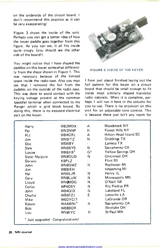on the underside of the circuit board. I don't recommend this practice as it can be very exasperating!

Figure 3 shows the inside of the unit. Perhaps you can get a better idea of how the keyer paddle goes together from this figure. As you can see, it all fits inside quite snugly (you should see the other side of the board!).

You might notice that I have shaped the paddles on this keyer somewhat differently from the shape shown in Figure 1. This was necessary because of the limited space inside the radio case. Also you may see that I removed the foil from the paddles on the outside of the radio case. This was done to avoid contact with the keying voltage present at the common (paddle) terminal when connected to my Ranger which is grid block keyed. By doing this, there is no exposed electrical part on the keyer.



#### FIGURE 3. INSIDE OF THE KEYER.

<sup>I</sup>have just about finished laying out the foil pattern for this keyer on a circuit board that should be small enough to fit inside most similarly shaped transistor radio cabinets. When it is complete, perhaps I will run it here in the column for you to use. There is no provision on this unit for an adjustable tone control. This is because there just isn't any room for

| Harry           | WB2MDX              | A              | Woodstock NY             |
|-----------------|---------------------|----------------|--------------------------|
| Pat             | WN2NNP              | N              | Forest Hills NY          |
| H.J.            | WB4GRL              | A              | Hilton Head Island SC    |
| Jim             | WN5ITZ              | N              | Gliddings TX             |
| Doc             | W5WBY               | $\blacksquare$ | Lamesa TX                |
| Dale            | WN6BYS              | N              | Sacramento CA            |
| Louise          | WB8JIB <sup>*</sup> | G?             | <b>Yellow Springs OH</b> |
| Sister Marjorie | WN8OUD              | N              | Cincinnati OH            |
| Darwin          | K8PLZ               | ÷              | Flint MI                 |
| John            | WN8QWZ              | N              | Rochester MI             |
| Jim.            | WB8IEH              |                | <b>Ishpeming MI</b>      |
| Hal             | WN9LJR              | N              | Henry IL                 |
| Gary            | <b>WNØLUW</b>       | N              | Minneapolis MN           |
| Lloyd           | <b>WNOMDG</b>       | N              | O'Neill NE               |
| Carlos          | WP4DSY              | N              | Rio Piedras PR           |
| John            | WB4QID              | G              | Lakeland FL              |
| Charlie         | WB5FZJ              | E              | Leesville LA             |
| Mike            | W6DYC/7             |                | LaGrande OR              |
| Edwin           | WA6WNI <sup>*</sup> | A              | Sacramento CA            |
| <b>Bob</b>      | WB8BOR              |                | Westlake OH              |
| Lou             | WNØIYC              | N              | St Paul MN               |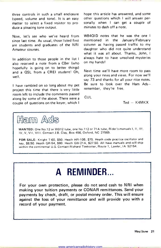three controls in such a small enclosure (speed, volume and tone). It is an easy matter to select a fixed resistor to produce a pleasing tone output.

Now, let's see who we've heard from WB4QID noince last time. As usual those listed first mentioned since last time. As usual, those listed first are students and graduates of the NRI Amateur courses.

In addition to those people in the list I also received a note from a CBer (who hopefully is going on to better things) and a QSL from a CREI student! Oh, well.

<sup>I</sup>have rambled on so long about my pet project this time that there is very little room left to include the comments passed along by some of the above. There were a couple of questions on the keyer, which <sup>I</sup>

hope this article has answered, and some other questions which I will answer personally when I can get a couple of minutes to dash off a note.

WB4QID notes that he was the one  $\parallel$ in the January/February column as having passed traffic to my daughter who did not quite understand what it was all about. Thanks, John, I always hate to have unsolved mysteries on my hands!

Next time we'll have more room to pass along your news and views. For now we'll say 73 and thanks for all your nice notes. Be sure to look over the Ham Adsremember, they're free.

CUL

 $Ted - K4MKX$ 



WANTED: One No.12 or WD12 tube, one No.112 or 71A tube, Rider's manuals I, II, III, IV, V, VII, VIII. Contact J.B. Clay, Box 456, Oxford, NC 27565.

FOR SALE: Knight T-60, \$50. Heath HR -10B, \$75. Heath code practice oscillator and key, \$8.50. Heath GR -54, \$80. Heath GW-21 A, \$27.50. All have manuals and will ship within the continental U.S. Contact Richard Tieskotter, Route 1, Lawler, IA 52154.

### A REMINDER...

For your own protection, please do not send cash to NRI when making your tuition payments or CONAR remittances. Send your payments by check, draft, or postal money order. This will ensure against the loss of your remittance and will provide you with a record of your payment.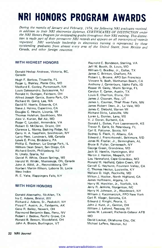# NRI HONORS PROGRAM AWARDS

During the months of January and February, 1974, the following NRI graduates received, in addition to their NRI electronics diplomas, CERTIFICATES OF DISTINCTION under the NRI Honors Program for outstanding grades throughout their NRI training. This distinction is made part of their permanent NRI records and appears on all transcripts of records<br>requested. NRI worldwide leadership in electronics training is represented by these outstanding graduates from almost every area of the United States, from Mexico and<br>Canada, and other foreign countries.

#### WITH HIGHEST HONORS

Donald Heslop Andrews, Victoria, BC, Canada

Hugh F. Barlow, Titusville, FL Roger L. Blakley, Platte City, MO Medford E. Conley, Portsmouth, NH Louis Dalessandro, Succasunna, NJ Ronald H. Dunigan, Fairborn, OH Alfred Joseph Garcia, Buena Park, CA Richard W. Giard, Lee, MA David M. Haerle, Edwards, CA Steve J. Halmo, Cupertino, CA Douglas C. Hewitt, Livonia, MI Thomas Hulehan, Southboro, MA Alex V. Kurian, Bel Air, MD Roger C. Laudati, Annandale, VA Robert D. McClaren, Orient, OH Clarence L. Monta, Basking Ridge, NJ Carry H. A. Naepflein, Smithtown, NY Larry Platt, Landmark, MB, Canada Lewis E. Prine, Birdsboro, PA Phillip E. Redman, La Grange Park, IL William Dean Smart, San Diego, CA Richard Smith, Phillipsburg, NJ N. Unalp, Sparta, NJ Daniel R. White, Ocean Springs, MS Harold W. Wilder, Mississauga, ON, Canada John A. Wildi, Jr., Reynoldsburg, OH Norbert Martin Wilson, Laborie St. Lucia West Indies

R. E. Yake, Wappingers Falls, NY

#### WITH HIGH HONORS

Donald Abernathy, McAllen, TX Ira C. Adams, Bristol, WV Richard J. Adams, Sr., Peekskill, NY Floyd F. Austin, Jr., Fairbanks, AK Gene R. Bailey, Newark, OH Raymond Benjamin Bass, Reno, NV Robert J. Bedow, Pacific Grove, CA Ronald B. Beeson, Woodsfield, OH John A. Bisson, Burlington, VT

Raynold C. Bondeson, Sterling, VA Jeff W. Booth, St. Louis, MO William C. Bradley, Jr., Dallas, TX James C. Brinton, Chalfont, PA Robert L Broene, APO San Francisco Vincent N. Bush, Manhattan Beach, CA Anthony J. Canterbury, Idaho Falls, ID Rosser W. Carey, Miami Springs, FL Carolyn E. Carter, Austin, TX Louis E. Charlton, Elyria, OH James J. Cloonan, Roy, UT James L. Counter, Thief River Falls, MN James Robert Dean, Jr., La Vale, MD James C. Diebold, Warren MI Richard Dirks, Lakeville, MN Loren L. Donley, Lena, MS V. J. Doran, Burbank, CA Donald L. Dukes, Fort Leavenworth, KS Trevor R. Earle, St. Petersburg, FL Carl E. Falconer, Scotia, NY Sydney S. Fleck, II, Albany, GA Edward J. Franczkowski, Baltimore, MD Jones W. Frazier, Jr., Birmingham, AL Bruce B. Fuller, Centereach, NY George Green, Grandview, MO Jack W. Hamlin, Huntington, WV Martin J. Hanlon, Maspeth, NY Lou Hannaford, Cape Girardeau, MO Ronald M. Hatfield, Cabin Creek, WV Carroll C. Hayhurst, Fountain Valley, CA C. Thomas Hectus, Louisville, KY Wallace D. High, Rockville, MD Milton J. Hocker, North Highland, CA James Hoffmann, Algona, IA Harry W. Horchler, Jr., Norfolk, VA Jerry R. Jenkins, Morganton, NC Harry H. Johnson, Jr., Woodstock, NY William J. Kaczmarczyk, FPO New York Carl R. Klager, Sonoma, CA Edward J. Knight, Peoria, IL John J. Kutz, Jr., Canton, OH William J. Lafond, Pascoag, RI James W. Lasswell, Richards-Gebaur AFB MO David Laukat, Oklahoma City, OK Michael LePera, Newton, NJ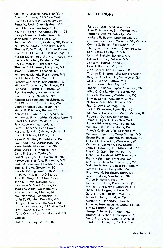Charles F. Letsche, APO New York Donald A. Lewis, APO New York David C. Liebergen, Green Bay, WI James W. Lusk, Camp Springs, MD Leon Madkins, San Angelo, TX Kevin R. Mahan, Warehouse Point, CT George Mamula, Washington, PA John Marrin, Wood-Ridge, NJ Ted Bert Mattinson, Codette, SK, Canada William K. McCoy, FPO Seattle, WA Thomas P. McCurdy, Hoffman Estates, IL Newton C. McFall, Jr., Chattanooga, TN Russell McWhinney, Jr., Front Royal, VA Herbert Mitschan, Petaluma, CA Ross E. Molzahn, Thatcher, AZ Thomas E. Moseman, Hampton, VA James F. Mutney, Lebanon, NH William H. Nichols, Rosemount, MN Paul E. Novak, Key West, FL Earnest W. Owings, San Angelo, TX William T. Paine, Jr., San Diego, CA Leonard T. Parish, Fullerton, CA Ross Pattershall, Hackensack, NJ David H. Perry, Newfane, NY Randall Lee Peterson, Rockford, IL Paul W. Powell, Electric City, WA Dennis Pramagioulis, Bronx, NY Walter B. Pritchett, Burton, SC Kenneth D. Rankin, Bellingham, WA William W. Riker, White Meadow Lake, NJ Harold A. Roach, Modesto, CA Jack Roberson, Rantoul, IL Earle L. Sanders, Lynn Haven, FL Kurt W. Schroff, Chicago Heights, IL Kurt H. Schuler, El Paso, TX Harry C. Shilling, Philadelphia, PA Raymond Silfa, Washington, DC Hank Smith, Albuquerque, NM John Soares, Ill, Yonkers, NY David P. Sopala, Taylor, MI Paul S. Spangler, Jr., Greenville, NC Harvey Jay Steinfeld, Rockville, MD Brett M. Stephens, Lynchburg, VA Billy E. Styles, Greenville, SC Gary N. Sylling, Wurtsmith AFB, MI Hugh V. Tate, Ill, APO Seattle John R. Theys, APO New York John S. Tuttle, Danville, CA Lawrence M. Vied, Aurora, CO James A. Walsh, Waltham, MA Wayne L. Walter, Marion, IA Miin-Nan Wang, Manhattan, KS Alvin D. Watkins, Doraville, GA Douglas G. Weaver, Theodore, AL Ivan F. Williams, Jr., APO New York David Woodin, Reno, NV Maria Cristina Yasakci, Montreal, PO, Canada Phillip E. Young, Marion, IN

#### WITH HONORS

Jerry A. Abee, APO New York Alan F. Anderson, Sr., Morton, MA Luther J. Ash, Woodbridge, VA Herbert R. Baehm, Middletown, NY Antonin Bartunekh, Toronto, ON, Canada Connie G. Bellah, Fort Worth, TX Thongchai Bhanukitsiri, Commerce, CA Earl Bigger, Lexington, VA Lynn H. Blakely, Bethany, OK Edwin L. Bobo, Parkton, MD James N. Bohner, Honolulu, HI Don R. Boucher, Milo, IA J. W..Bowles, San Antonio, TX Thomas E. Britton, APO San Francisco King D. BFoadnax, Jr., Statesboro, GA Giles E. Brown, Affton, MO John L. Case, Neah Bay, WA Robert E. Chaney, Signal Mountain, TN Wiley G. Clark, Virginia Beach, VA James R. Coleman, Washington, DC Billy B. Daniel, Albuquerque, NM Nicholas D'Aurizio, Batavia, NY Paul G. Davis, Carthage, TN Carl T. Dickerson, Lewisville, NC William K. Duckworth, Mount Vernon, IN Robert J. Duncan, Bethlehem, PA Daniel C. Egbert, APO New York Robert Edward Ehlers, Taylors, SC William Etsell, Philadelphia, PA Francis C. Ettenhofer, Escanaba, MI William Fitzpatrick, Camp Springs, MD Bruno Franchi, Monmouth Junction, NJ Robert F. Frederick, Watertown, WI William E. Germann, FPO Seattle John R. Gilmore, Jr., Philadelphia, PA Marvin G. Gsell, Sun Valley, CA Robert A. Halstead, APO New York Frank Halter, San Francisco, CA Clinton D. Hamilton, Fallbrook, CA Malcolm R. Hanson, East Fairfield, VT James F. Harris, Berryville, VA Raymond M. Hartinger, Eden, NY Joseph Hatton, Manchester, NH Trulan P. Hatton, Peru, IN Kenneth E. Hintz, Plattsburgh, NY Michael A. Hitchens, Somerset, OH Richard W. Hogan, Jackson, MI Gary T. Hoke, Spring Grove, PA James E. Hood, Irondale, OH Kenneth K. Horlander, Danville, IL James A. Howlingcrane, Okmulgee, OK Tim C. Hudson, Ogallala, NE George E. Ingle, Burlington, NC Thomas M. Jarboe, Indianapolis, IN David F. Jirovsky, Cedar Bluffs, NE Landon R. Jones, Jr., Fairfax, VA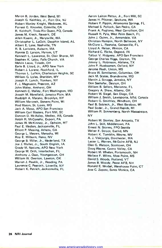Myron B. Jordan, West Bend, WI Joseph G. Keithley, Jr., Fort Dix, NJ Robert Manley Knight, Wedowee, AL Forrest G. Knowles, Coleville, CA R. Kolthoff, Trois-Riv Quest, PQ, Canada-James M. Kreck, Newark, DE Allen Kwant, Jr., Marysville, WA Christopher L. LaColt, Dauphin Island, AL Albert E. Lane, Nashville, TN R. B. Lariviere, Auburn, MA Ronnie D. Larson, Hyrum, UT Kenneth L. Lawrence, St. Clair Shores, MI Stephen K. Lebo, Falls Church, VA Melvin Leow, Toledo, OH Earle B. Lloyd, Jr., APO New York Robert J. Lorenz, Rockford, IL Thomas L. Lufkin, Charleston Heights, SC William G. Lyles, Sheridan, WY Joseph F. Lynch, Yonkers, NY F. J. Magnuson, Prescott, AZ John Maley, Amherst, OH Kenneth C. Malley, Fort Washington, MD Joseph M. Mansfield, Jamaica Plain, MA Rudolph A. Marano, Brooklyn, NY William Maronek, Stevens Point, WI Rod Mason, St. Louis, MO Jack A. Massa, APO San Francisco William Carl Masters, Fort Mill, SC Duncan D. McAuley, Medley, AB, Canada Ralph R. McConahy, Export, PA James W. McKinney, Jr., Opheim, MT Paul E. Medien, Jacksonville, FL Elliott P. Messing, Athens, GA George L. Meyers, Menasha, WI Roy E. Milburn, Reno, NV George B. Miller, Jr., Mederland, TX Joe J. Mullet, Jr., South English, IA Grady M. Nations, APO New York George W. Orth, Interlachen, FL Anthony J. Osso, Youngstown, OH William W. Overton, Lawton, OK Warren J. Pawlik, Jr., Reading, PA Laurence C. Peacock, Lovwille, NY Robert K. Petrich, Jacksonville, FL

Aaron Laiton Pettus, Jr., Fort Mill, SC James H. Pfitzner, Spokane, WA Robert P. Pippin, Altamonte Springs, FL Michael S. Pollock, San Pedro, CA Frank A. Pugliano, West Carrollton, OH Russell R. Pyle, West Palm Beach, FL John J. Quinn, Jr., Annandale, VA Christian Rampin, North Bellmore, NY McClure L. Rasnake, Gainesville, FL Lloyd A. Reiser, Winton, CA Richard C. Ricke, Osgood, IN Talbot V. Ridgway, APO San Francisco George Charles Riggs, Dayton, TN Jimmy L Robinson, Abilene, TX John P. Ruebsamen, Oxford, NY Jerome Rush, Union, MS Bruce W. Santibanez, Columbus, OH Jack M. Scates, Brandywine, MD Marvin J. Scruggs, Jamaica, NY Don Seehafer, Dayton, OH William B. Sellers, Marianna, FL Gregory A. Shaw, Albany, OR Robert W. Siegel, San Diego, CA William J. Smith, Lewisporte, Nfld, Canada Robert G. Smithley, Windham, OH Paul B. Sobieck, Jr., West Baraboo, WI Paul Soder, Jr., Grand Rapids, MI William R. Sonnenberg, North Massapequa, NY

Robert M. Stanley, San Antonio, TX John L. Still, Middletown, PA Ernest N. Storms, FPO Seattle Walter F. Stroot, Euclid, MN Robert K. Tomblin, Wayne, WV A. J. Vaicjurgis, Dorchester, MA Lester L. Warren, McGuire AFB, NJ Cleo G. Watson, Scottown, OH Doug Wayne, Castro Valley, CA Robert M. Whelan, Portsmouth, NH Wallace F. Wilms, Moss Point, MS David S. Woods, Rutland, VT James B. Woody, Pease AFB, NH Ronald E. Wrubel, Warehouse Point, CT Jose C. Zapata, Santa Monica, CA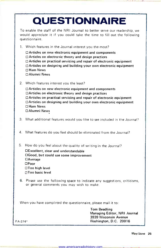|           | <b>QUESTIONNAIRE</b>                                                                                                                                                                                                                                                                                 |                                                                              |  |
|-----------|------------------------------------------------------------------------------------------------------------------------------------------------------------------------------------------------------------------------------------------------------------------------------------------------------|------------------------------------------------------------------------------|--|
|           | To enable the staff of the NRI Journal to better serve our readership, we<br>would appreciate it if you could take the time to fill out the following<br>questionnaire.                                                                                                                              |                                                                              |  |
|           | 1. Which features in the Journal interest you the most?                                                                                                                                                                                                                                              |                                                                              |  |
|           | $\Box$ Articles on new electronic equipment and components<br>$\Box$ Articles on electronic theory and design practices<br>□ Articles on practical servicing and repair of electronic equipment<br>□ Articles on designing and building your own electronic equipment<br>□ Ham News<br>□ Alumni News |                                                                              |  |
|           | 2. Which features interest you the least?                                                                                                                                                                                                                                                            |                                                                              |  |
|           | □ Articles on new electronic equipment and components<br>□Articles on electronic theory and design practices<br>$\Box$ Articles on practical servicing and repair of electronic equipment<br>□ Articles on designing and building your own electronic equipment<br>□ Ham News<br>□ Alumni News       |                                                                              |  |
| 3.        | What additional features would you like to see included in the Journal?                                                                                                                                                                                                                              |                                                                              |  |
| 4.        | What features do you feel should be eliminated from the Journal?                                                                                                                                                                                                                                     |                                                                              |  |
| 5.        | How do you feel about the quality of writing in the Journal?<br>□Excellent, clear and understandable<br>□Good, but could use some improvement<br>$\Box$ Average<br>$\Box$ Poor<br>□Too high level<br>□Too basic level                                                                                |                                                                              |  |
|           | 6. Please use the following space to indicate any suggestions, criticisms,<br>or general comments you may wish to make.                                                                                                                                                                              |                                                                              |  |
|           | When you have completed the questionnaire, please mail it to:                                                                                                                                                                                                                                        |                                                                              |  |
|           |                                                                                                                                                                                                                                                                                                      | <b>Tom Beadling</b><br>Managing Editor, NRI Journal<br>3939 Wisconsin Avenue |  |
| $FA-374*$ |                                                                                                                                                                                                                                                                                                      | Washington, D.C. 20016                                                       |  |

u,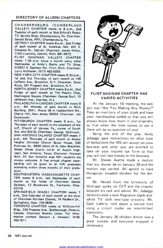#### DIRECTORY OF ALUMNI CHAPTERS

CHAMBERSBURG (CUMBERLAND VALLEY) CHAPTER meets at 8 p.m., 2nd Tuesday of each month at Bob Erford's Radio-TV Service Shop, Chambersburg, Pa. Chairman: Gerald Strite, RR1, Chambersburg, Pa.

DETROIT CHAPTER meets 8 p.m., 2nd Friday of each month at St. Andrews Hall, 431 E. Congress St., Detroit. Chairman: James Kelley, 1140 Livernois, Detroit, Mich. 841-4972.

FLINT (SAGINAW VALLEY) CHAPTER meets 7:30 p.m. twice a month every other Wednesday at Andy's Radio and TV Shop, G-5507 S. Saginaw Rd., Flint, Mich. Chairman: Larry McMaster, (517) 463-5059.

NEW YORK CITY CHAPTER meets 8:30 p.m., 1st and 3rd Thursday of each month at 199 Lefferts Ave., Brooklyn, N.Y. Chairman: Steve Kross, 381 Prospect Ave., Brooklyn, N.Y.

NORTH JERSEY CHAPTER meets 8 p.m., 2nd Friday of each month at The Players Club, Washington Square. Chairman: George Stoll, 10 Jefferson Ave., Kearney, N.J.

PHILADELPHIA -CAMDEN CHAPTER meets 8 p.m., 4th Monday of each month in RCA Building, 204-I, Route 38 in Haddonfield Rd., Cherry Hill, New Jersey 08034. Chairman: Joe Szumowski.

PITTSBURGH CHAPTER meets 8 p.m., 1st Thursday of each month in the basement of the U.P. Church of Verona, Pa., corner of South Ave. and 2nd St. Chairman: George McElwain. SAN ANTONIO (ALAMO) CHAPTER meets 7 p.m., 4th Thursday of each month at Alamo Heights Christian Church Scout House, 350 Primrose St., 6500 block of N. New Braunfels Street (three blocks north of Austin Highway), San Antonio, Texas. Chairman: Norman Bird. All San Antonio area NRI students are always welcome. A free annual chapter mem- bership will be given to all NRI graduates attending within three months of their graduation.

SOUTHEASTERN MASSACHUSETTS CHAP-TER meets 8 p.m., last Wednesday of each ner. month at the home of Chairman Daniel DeJesus, 12 Brookview St., Fairhaven, Mass. 02719.

SPRINGFIELD (MASS.) CHAPTER meets 7 p.m., 2nd Saturday of each month at the shop of Chairman Norman Charest, 74 Redfern Dr., Springfield, Mass. 734-2609.

TORONTO CHAPTER meets at McGraw-Hill Bldg., 330 Progress Ave., Scarborough, Ontario, Canada. Chairman Branko Lebar. For information contact Stewart J. Kenmuir (416) 293-1911.



#### FLINT-SAGINAW CHAPTER HAS VARIED ACTIVITIES

At the January 16 meeting, the subject was "Are You Making Any Money?" Take an inventory of your stock and have your merchandise coded so that you will always know how much it cost originally so that when the time comes to use it there will be no question of cost.

Being the end of the year, Andy Jobaggy gave instructions on what type of deductions the IRS will accept on your business and what you are entitled to take on your income tax form so that you will not lose money in the business.

Mr. Steven Avetta made a motion that our dinner be on January 30 and the motion was carried. All agreed to have Hungarian breaded chicken for the din-

Mr. Herald from the University of Michigan spoke on CET and the chapter enjoyed his talk and advice. Mr. Jobaggy demonstrated a new Magnavox black-andwhite TV with new -type circuitry. Mr. Cash Laferty told about a service hint using a circuit cooler on intermittent transistors.

The January 30 chicken dinner was a great success and everyone enjoyed it immensely.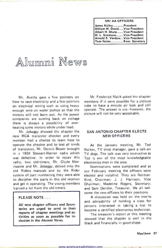#### NRI AA OFFICERS

| ∐James Kelley…………President        |  |
|-----------------------------------|--|
| l William W. David Vice President |  |
| Albert H. SharpVice President     |  |
| IW. L. SimmonsVice President      |  |
| Arnold E. VerdowVice President    |  |
| Tom Nolan Exec. Secretary         |  |

# Alumni News

Mr. Avetta gave a few pointers on how to save electricity and a few pointers on electrical wiring such as using heavy enough wire on water pumps so that the motors will not burn out.. As the power companies are cutting back on voltage there is always a possibility of overheating some motors while under load.

Mr. Jobaggy showed the chapter the new RCA transistor checker and every member had a chance to learn how to operate the checker and to test all kinds of transistors. Mr. Dennis Besser brought in a 1934 Stewart -Warner radio which was defective. In order to repair this radio, two old-timers, Mr. Clyde Morrissette and Mr. Jobaggy, delved into the old Riders manuals and by the Rider system of part numbering they were able to decipher the parts in this old receiver and get it operating. The young members learned a lot from the old-timers.

#### PLEASE NOTE ...

All new chapter officers and Secretaries are urged to send in their reports of chapter meetings and ac tivities as soon as possible for inclusion in the Alumni News.

Mr. Frederick Malik asked the chapter members if it were possible for a picture tube to have a minute air leak and still operate. The answer is yes-however, the picture will not be very acceptable.

#### SAN ANTONIO CHAPTER ELECTS NEW OFFICERS

At the January meeting, Mr. Ted Walker, TV shop manager, gave a talk on TV dogs. The talk was very instructive as Ted is one of the most knowledgeable electronics men in the area.

Nominations were completed and at our February meeting the officers were elected and installed. They are Norman Bird, Chairman; J. J. Harrison, Vice Chairman; Madeline Rogers, Secretary; and Sam Dentier, Treasurer. We all welcome the new officers to their positions.

A discussion was held on the merits and advisability of holding a class for persons interested in taking a test to become a certified electronics technician.

The treasurer's report at this meeting showed that the chapter is well in the black and financially in good shape.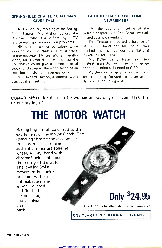#### SPRINGFIELD CHAPTER CHAIRMAN GIVES TALK

At the January meeting of the Springfield chapter, Mr. Arthur Byron, the Chairman, who is a self-employed TV service man, spoke on various problems.

His subject concerned safety while working on TV chassis. With a transformerless-type TV set and an oscilloscope, Mr. Byron demonstrated how the TV chassis could give a person a lethal shock, and stressed the importance of an isolation transformer in service work.

Mr. Richard Damon, a student, was a guest at this meeting.

#### DETROIT CHAPTER WELCOMES NEW MEMBER

At the year-end meeting of the Detroit chapter, Mr. Carl Ceruti was admitted as a new member.

The Treasurer reported a balance of \$48.06 on hand and Mr. Kelley was notified that he had won the National Presidency for 1974.

Mr. Kelley demonstrated an intermittent transistor using an oscilloscope and the meeting adjourned at 9:30.

As the weather gets better the chapter is looking forward to larger attendance and good programs.

CONAR offers...for the man (or woman or boy or girl in your life)...the unique styling of

# THE MOTOR WATCH

Racing flags in full color add to the excitement of the Motor Watch. The sparkling chrome spokes connect to a chrome rim to form an authentic miniature steering wheel. A vinyl band with chrome buckle enhances the beauty of the watch. The jeweled Swiss movement is shock -re resistant, with an unbreakable main, spring, polished and finished chrome case, and stainless steel back.

# Only \$24.95

(Plus S1.00 for handling, shipping, and insurance)

ONE YEAR UNCONDITIONAL GUARANTEE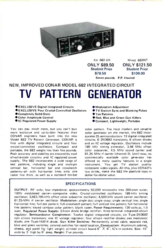

Kit 682 UK ONLY \$89.50 Student Price \$79.50

Wired 682WT ONLY \$121.50 Student Price \$109.00

Seven pounds P.P. Insured

### NEW, IMPROVED CONAR MODEL 682 INTEGRATED CIRCUIT PATTERN GENERATOR

- EXCLUSIVE Digital Integrated Circuits
- EXCLUSIVE Four Crystal -Controlled Oscillators
- Completely Solid-State
- Color Amplitude Control
- **OIC Regulated Power Supply**

You can pay much more, but you can't buy more exclusive and up-to-date features than CONAR engineers have built into the new Model 682 TV Pattern Generator. CONAR is first with digital integrated circuits and four crystal -controlled oscillators. Compact and portable, the 682 weighs less than five pounds. Peak accuracy and stability are ensured by cool all -solid-state circuitry and IC regulated power supply. The 682 incorporates a wide range of test patterns, including single and multiple vertical bar, horizontal bar and crosshatch patterns-all with horizontal lines only one raster line thick, as well as a standard ten -bar

- Modulation Adjustment
- **OTV Station Sync and Blanking Pulses**
- **Ten Patterns**
- Red, Blue and Green Gun Killers
- Compact, Lightweight, Portable

color pattern. The most modern and versatile color generator on the market, the 682 incorporates25 semiconductors: 12 digital integrated circuits; 6 2N3692 transistors, 6 silicon diodes and an IC voltage regulator. Oscillators include 189 kHz timing çanerator, 3.56 MHz offset color subcarrier, 4.5 MHz sound carrier and 61.25 MHz rf carrier (channel 3). Until now, no commercially available color generator has offered so many quality features in a single instrument. You get TV station quality composite video signals. All this, plus CONAR's low prices, make the 682 the absolute tops in dollar -for -dollar value.

#### **SPECIFICATIONS**

OUTPUT: RF only; low impedance; approximately 50,000 microvolts into 300-ohm tuner; 100% modulated carrier-composite video. Crystal -controlled oscillators: 189 -kHz timing oscillator; 3,563.795 -kHz offset color subcarrier oscillator; 4,500 -kHz sound carrier oscillator; 61.25 -MHz rf carrier oscillator. Modulation: single dot; single cross; single vertical line; single horizontal line; full dot pattern; full crosshatch pattern; full vertical line pattern; full horizontal line pattern; keyed rainbow color pattern; blank raster. Power Requirements: 120 volts ac, 1.0 watt. Regulated Power Supply: Silicon diode bridge rectifier; three -terminal integrated -circuit regulator. Semiconductor Complement: Twelve digital integrated circuits; six Type-2N3692 npn silicon transistors; one IC voltage regulator; four silicon rectifier diodes; one modulator diode; one Type-1N914 diode. Gun Killer Switches: Permanently wired cable; separate red, blue and green switches; colored switches for rapid location. Construction: Aluminum cabinet, chassis, and panel for light weight; printed circuit board  $6'' \times 9''$ ; IC's in sockets. Size: 10<sup>"</sup> wide by  $3'$  high by  $9''$  deep. Weight: Five pounds.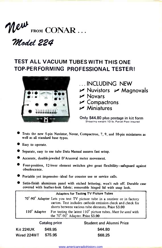

71lodel 224

### TEST ALL VACUUM TUBES WITH THIS ONE TOP-PERFORMING PROFESSIONAL TESTER!



- ...INCLUDING NEW
- $\nu$  Nuvistors  $\nu$  Magnovals
- $\nu$  Novars
- $\nu$  Compactrons
- $M$ Miniatures
- Only \$44.80 plus postage in kit form Shipping weight 13 lb. Parcel Post insured
- Tests the new 5 -pin Nuvistor, Novar, Compactron, 7, 9, and 10 -pin miniatures as well as all standard base types.
- **Easy** to operate.
- Separate, easy to use tube Data Manual assures fast setup.
- Accurate, double jeweled D'Arsonval meter movement.
- Four -position, 12 -lever element switches give great flexibility-safeguard against obsolescence.
- Portable yet impressive-ideal for counter use or service calls.
- Satin -finish aluminum panel with etched lettering; won't rub off. Durable case covered with leather -look fabric; removable hinged lid with snap lock.

|              |                      | <b>Adapters for Testing TV Picture Tubes</b>                                                                                                                                                  |
|--------------|----------------------|-----------------------------------------------------------------------------------------------------------------------------------------------------------------------------------------------|
|              |                      | 70°-90° Adapter Lets you test TV picture tube in a receiver or in factory<br>carton. Test includes cathode emission check and check for<br>shorts between various tube elements. Price \$3.00 |
| 110° Adapter |                      | For testing the latest 110° picture tubes. Must be used with<br>the 70°-90° Adapter. Price \$3.00                                                                                             |
|              | <b>Catalog price</b> | <b>Student and Alumni Price</b>                                                                                                                                                               |

|             | <b>ANTAINA PIINA</b> |         |
|-------------|----------------------|---------|
| Kit 224UK   | \$49.95              | \$44.80 |
| Wired 224WT | \$75.95              | \$68.25 |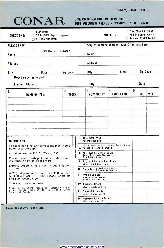#### MAY/JUNE ISSUE



## DIVISION OF NATIONAL RADIO INSTITUTE<br>3939 WISCONSIN AVENUE • WASHINGTON, D.C. 20016

| $\Box$ Cash Order<br>$\Box$ C.O.D. (20% deposit required)<br><b>CHECK ONE:</b><br>□ Select-A-Plan Order                              |                                |    | New CONAR Account<br>Add-on CONAR Account<br>CHECK ONE:<br>Re-open CONAR Account                                                    |                                                  |                    |        |
|--------------------------------------------------------------------------------------------------------------------------------------|--------------------------------|----|-------------------------------------------------------------------------------------------------------------------------------------|--------------------------------------------------|--------------------|--------|
| <b>PLEASE PRINT</b><br>NRI Student or Graduate No.<br><b>Name</b>                                                                    |                                |    | Name                                                                                                                                | Ship to another address? Give Directions here    |                    |        |
| Address                                                                                                                              |                                |    | Address                                                                                                                             |                                                  |                    |        |
| State<br>City                                                                                                                        | Zip Code                       |    | City                                                                                                                                | <b>State</b>                                     | Zip Code           |        |
| Moved since last order?<br><b>Previous Address</b>                                                                                   |                                |    | City                                                                                                                                |                                                  | State              |        |
| $\mathbf{1}$ .<br><b>NAME OF ITEM</b>                                                                                                | $\overline{2}$ .<br>STOCK $\#$ |    | 3.<br><b>HOW MANY?</b>                                                                                                              | 4.<br><b>PRICE EACH</b>                          | 5.<br><b>TOTAL</b> | WEIGHT |
|                                                                                                                                      |                                | 6. | <b>Total Cash Price</b>                                                                                                             |                                                  |                    |        |
| <b>IMPORTANT</b><br>To speed handling, any correspondence should<br>be on separate paper.                                            |                                |    | For Merchandise<br>7. Parcel Post and Insurance                                                                                     | (Do not remit for items shipped Express Collect) |                    |        |
| All prices are net F.O.B., Wash., D.C.<br>Please include postage for weight shown and                                                |                                |    | 8. 10% Cash Down Payment and<br>Parcel Post Costs Required on<br><b>New CONAR Accounts</b>                                          |                                                  |                    |        |
| insurance on Parcel Post orders.<br>Express Orders should not include shipping<br>charges.                                           |                                |    | 9. Unpaid Balance of Cash Price<br>(Items 6 & 7 less item 8)                                                                        |                                                  |                    |        |
| A 20% deposit is required on C.O.D. orders.<br>SELECT A-PLAN ORDERS: Please complete<br>and sign reverse side.                       |                                |    | ( Washington, D.C. )<br>( Residents Only<br>10. Sales Tax<br>11. Unpaid Balance<br>(Amount to be financed)<br>(Item 9 plus item 10) |                                                  |                    |        |
| Thank you for your order.                                                                                                            |                                |    | 12. Finance Charge<br>(See schedule on back)                                                                                        |                                                  |                    |        |
| Prices in the CONAR catalog and Select-A-Plan time<br>payment privileges apply only to residents of the United<br>States and Canada. |                                |    | 13. Total of Payments<br>(Item 11 plus item 12)                                                                                     |                                                  |                    |        |
|                                                                                                                                      |                                |    | 14. Deferred Payment Price<br>(items 6, 10 and 12)                                                                                  |                                                  |                    |        |

Please do not write in this space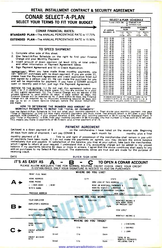#### RETAIL INSTALLMENT CONTRACT & SECURITY AGREEMENT

#### CONAR SELECT -A -PLAN SELECT YOUR TERMS TO FIT YOUR BUDGET

#### CONAR FINANCIAL RATES:

**STANDARD PLAN-The ANNUAL PERCENTAGE RATE is 17.75%** 

**EXTENDED PLAN-The ANNUAL PERCENTAGE RATE is 15.50%** 

#### TO SPEED SHIPMENT

- 1. Complete other side of this sheet.
- 2. Use Select -A -Plan Schedule on the right to find your Finance Charge and your Monthly Payment.
- 
- 

3. Insert amount of down payment (at least 10% of total order) and other information in Payment Agreement below.<br>4. Sign Payment Agreement and fill in Credit Application.<br>1MPORTANT; When you have made three monthly payment can "add"on" purchases with no down payment. If you are under 21, please have the Payment Agreement and credit application filled out and signed by a person over 21. He can make the purchase for you and signed by a person open or recently paid -in -full, just sign the Payment Agreement.

NOTICE TO THE BUYER: (1.) Do not sign this agreement before you<br>read it or if it contains any blank space. (2.) You are entitled to a copy<br>of this signed agreement. (3.) The Finance Charge will be waived it the<br>unpaid bala

#### HOW TO DETERMINE THE NUMBER AND AMOUNT OF MONTHLY PAYMENTS TO REPAY THE "TOTAL OF PAYMENTS"

Use the Select-A-Pian Schedule to find out what your monthly payment is. Then divide your monthly payment into your<br>"Total of Payments" to find out how many monthly payments you must make. The amount which is left over is payment. FOR EXAMPLE, if your unpaid balance is \$95, then your monthly payment is \$8.75 (using the Standard Plan). If<br>your "Total of Payments" is \$104, then your monthly payment of \$8.75 divides into that number 11 times w

PAYMENT AGREEMENT Ewclosed is a down payment of \$ on the merchandise I have listed on the reverse side. Beginning 30 days from date of shipment, I will pay CONAR E ... each month for months, plus a final monthly payment of \$. [1] Title to and right of possession of the merchanidse shall remain in you until<br>all payments have been made. If I do not make the payments as agreed, you may declare the entire balance<br>immediately d

| IT'S AS EASY AS $\triangle$<br>- R<br>TO OPEN A CONAR ACCOUNT<br>PLEASE ALLOW ADEQUATE TIME FOR NORMAL ROUTINE CREDIT CHECK. ONCE YOUR CREDIT IS ESTABLISHED, ONLY YOUR SIGNATURE IS NEEDED TO ADD ON PURCHASES<br>WHERE DO YOU LIVE?<br>PRINT FULL NAME<br>HOME ADDRESS<br><b>CITY</b><br>STATE<br>ZIP-CODE<br><b>HOME PHONE</b><br>HOW LONG AT THIS ADDRESS<br>( ) OWN HOME<br>( ) RENT<br>RENT OR MORTGAGE PAYMENTS \$<br>MARITAL STATUS ( ), MARRIED ( ). SINGLE<br>WIFE'S NAME<br>NUMBER OF DEPENDENT CHILDREN<br><b>PREVIOUS ADDRESS</b><br>HOW LONG?<br>WHERE DO YOU WORK?<br>YOUR EMPLOYER<br><b>POSITION</b><br>MONTHLY INCOME \$<br>HOW MANY YEARS<br><b>EMPLOYER'S ADDRESS</b><br>ON PRESENT JOB?<br><b><i><u><u> Angels for the fire</u></u></i></b><br>Street<br>City<br>State<br>PREVIOUS EMPLOYER<br>HOW LONG?<br>Name<br><b>Address</b><br>WIFE'S EMPLOYER<br>MONTHLY INCOME \$<br><b>Name</b><br><b>Address</b><br>WHERE DO YOU TRADE?<br><b>BANK ACCOUNT</b><br>( ) CHECKING<br>WITH<br>Street<br>City<br>State<br><b>SAVINGS</b><br><b>CREDIT ACCOUNT</b><br>$( )$ LOAN<br>WITH<br>City<br>Street<br>State |         |
|-------------------------------------------------------------------------------------------------------------------------------------------------------------------------------------------------------------------------------------------------------------------------------------------------------------------------------------------------------------------------------------------------------------------------------------------------------------------------------------------------------------------------------------------------------------------------------------------------------------------------------------------------------------------------------------------------------------------------------------------------------------------------------------------------------------------------------------------------------------------------------------------------------------------------------------------------------------------------------------------------------------------------------------------------------------------------------------------------------------------------------|---------|
|                                                                                                                                                                                                                                                                                                                                                                                                                                                                                                                                                                                                                                                                                                                                                                                                                                                                                                                                                                                                                                                                                                                               |         |
|                                                                                                                                                                                                                                                                                                                                                                                                                                                                                                                                                                                                                                                                                                                                                                                                                                                                                                                                                                                                                                                                                                                               | Age:    |
|                                                                                                                                                                                                                                                                                                                                                                                                                                                                                                                                                                                                                                                                                                                                                                                                                                                                                                                                                                                                                                                                                                                               |         |
|                                                                                                                                                                                                                                                                                                                                                                                                                                                                                                                                                                                                                                                                                                                                                                                                                                                                                                                                                                                                                                                                                                                               |         |
|                                                                                                                                                                                                                                                                                                                                                                                                                                                                                                                                                                                                                                                                                                                                                                                                                                                                                                                                                                                                                                                                                                                               |         |
|                                                                                                                                                                                                                                                                                                                                                                                                                                                                                                                                                                                                                                                                                                                                                                                                                                                                                                                                                                                                                                                                                                                               | PER MO. |
|                                                                                                                                                                                                                                                                                                                                                                                                                                                                                                                                                                                                                                                                                                                                                                                                                                                                                                                                                                                                                                                                                                                               |         |
|                                                                                                                                                                                                                                                                                                                                                                                                                                                                                                                                                                                                                                                                                                                                                                                                                                                                                                                                                                                                                                                                                                                               |         |
|                                                                                                                                                                                                                                                                                                                                                                                                                                                                                                                                                                                                                                                                                                                                                                                                                                                                                                                                                                                                                                                                                                                               |         |
|                                                                                                                                                                                                                                                                                                                                                                                                                                                                                                                                                                                                                                                                                                                                                                                                                                                                                                                                                                                                                                                                                                                               |         |
|                                                                                                                                                                                                                                                                                                                                                                                                                                                                                                                                                                                                                                                                                                                                                                                                                                                                                                                                                                                                                                                                                                                               |         |
|                                                                                                                                                                                                                                                                                                                                                                                                                                                                                                                                                                                                                                                                                                                                                                                                                                                                                                                                                                                                                                                                                                                               |         |
|                                                                                                                                                                                                                                                                                                                                                                                                                                                                                                                                                                                                                                                                                                                                                                                                                                                                                                                                                                                                                                                                                                                               |         |
|                                                                                                                                                                                                                                                                                                                                                                                                                                                                                                                                                                                                                                                                                                                                                                                                                                                                                                                                                                                                                                                                                                                               |         |
|                                                                                                                                                                                                                                                                                                                                                                                                                                                                                                                                                                                                                                                                                                                                                                                                                                                                                                                                                                                                                                                                                                                               |         |
|                                                                                                                                                                                                                                                                                                                                                                                                                                                                                                                                                                                                                                                                                                                                                                                                                                                                                                                                                                                                                                                                                                                               |         |
|                                                                                                                                                                                                                                                                                                                                                                                                                                                                                                                                                                                                                                                                                                                                                                                                                                                                                                                                                                                                                                                                                                                               |         |
|                                                                                                                                                                                                                                                                                                                                                                                                                                                                                                                                                                                                                                                                                                                                                                                                                                                                                                                                                                                                                                                                                                                               |         |
|                                                                                                                                                                                                                                                                                                                                                                                                                                                                                                                                                                                                                                                                                                                                                                                                                                                                                                                                                                                                                                                                                                                               |         |
|                                                                                                                                                                                                                                                                                                                                                                                                                                                                                                                                                                                                                                                                                                                                                                                                                                                                                                                                                                                                                                                                                                                               |         |
| <b>CREDIT ACCOUNT</b><br>TOTAL OF ALL                                                                                                                                                                                                                                                                                                                                                                                                                                                                                                                                                                                                                                                                                                                                                                                                                                                                                                                                                                                                                                                                                         |         |
| WITH<br><b>MONTHLY PAYMENTS</b><br>Street<br>City<br>State<br>INCLUDING CAR S                                                                                                                                                                                                                                                                                                                                                                                                                                                                                                                                                                                                                                                                                                                                                                                                                                                                                                                                                                                                                                                 |         |

www.americanradiohistory.com

| PLEASE CHECK ONE               |                           | <b>STANDARD PLAN</b><br>n<br><b>EXTENDED PLAN</b> |                          |                           |  |  |
|--------------------------------|---------------------------|---------------------------------------------------|--------------------------|---------------------------|--|--|
| <b>IF UNPAID</b>               |                           | <b>STANDARD</b><br>PLAN                           |                          | EXTENDED<br><b>PLAN</b>   |  |  |
| <b>BALANCE IS</b>              | Finan-<br>ci al<br>Charge | Monthly<br>Pav-<br>ments                          | Finan-<br>Cial<br>Charge | Monthly<br>Pay-<br>ments. |  |  |
| 20.01 25.00                    | 1.05                      | 3.50                                              |                          |                           |  |  |
| 25.01 - 30.00                  | 1.50                      | 4.00                                              |                          |                           |  |  |
| 30.01 - 35.00                  | 2.05                      | 4.50                                              |                          |                           |  |  |
| 35.01 40.00                    | 2.65                      | 4.75                                              |                          |                           |  |  |
| 40.01 50.00                    | 3.00                      | 5.00                                              |                          |                           |  |  |
| 50.01 - 60.00                  | 4.15                      | 5.50                                              |                          |                           |  |  |
| 60.01-70.00                    | 5.50                      | 6.00                                              | 6.40                     | 4.50                      |  |  |
| 70.01 80.00                    | 7 00                      | 6.50                                              | 8.00                     | 5 00                      |  |  |
| 80.01-90.00                    | 8.00                      | 775                                               | 10.10                    | 5.00                      |  |  |
| 90.01-100.00                   | 9.00                      | 8.75                                              | 12.60                    | 5 25                      |  |  |
| 100 01-110 00                  | 10.00                     | 9.75                                              | 14.80                    | 5.50                      |  |  |
| 110.01-120.00                  | 11.00                     | 10.75                                             | 16 20                    | 6.00                      |  |  |
| 120.01-130.00                  | 12.00                     | 11.75                                             | 17.60                    | 6.50                      |  |  |
| 130.01-140.00                  | 1300                      | 12.75                                             | 19.40                    | 7.00                      |  |  |
| 140.01-150.00                  | 14.00                     | 13.75                                             | 21.60                    | 7.50                      |  |  |
| 150 01-160 00                  | 15.00                     | 14.75                                             | 23.20                    | 8.00                      |  |  |
| 160.01-170.00                  | 16.00                     | 15.75                                             | 24.80                    | 8.50                      |  |  |
| 170.01-180.00                  | 17.00                     | 16.75                                             | 26.20                    | 9.00                      |  |  |
| 180.01-200.00                  | 18.00                     | 17.00                                             | 27.90                    | 10.00                     |  |  |
| 200.01-220.00                  | 20 00                     | 18.50                                             | 29.80                    | 11.00                     |  |  |
| 220.01-240.00                  | 22.00                     | 20.00                                             | 32.40                    | 12.00                     |  |  |
| 240.01-260 00                  | 24 00                     | 22.00                                             | 35.20                    | 1300                      |  |  |
| 260.01-280.00                  | 26.00                     | 24 00                                             | 38.20                    | 14.50                     |  |  |
| 280.01-300 00                  | 30.00                     | 24.50                                             | 41.20                    | 15 50                     |  |  |
| 300.01-320.00                  | 32 00                     | 25.50                                             | 44.20                    | 17.00                     |  |  |
| 320.01-340.00                  | 35.00                     | 27.00                                             | 47.80                    | 18.00                     |  |  |
| 340.01-370.00                  | 38.00                     | 28 00                                             | 52.40                    | 18.50                     |  |  |
| 370.01-400.00<br>400.01-430.00 | 42.00                     | 29.50                                             | 57.20                    | 29.00                     |  |  |
| 430.01-460.00                  | 46.00                     | 31.50                                             | 62.20                    | 21.00                     |  |  |
|                                | 49.50                     | 34 00                                             | 69 00                    | 2200                      |  |  |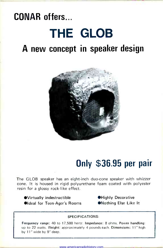# CONAR offers...

# THE GLOB

### A new concept in speaker design



# Only \$36.95 per pair

The GLOB speaker has an eight-inch duo-cone speaker with whizzer cone. It is housed in rigid polyurethane foam coated with polyester resin for a glossy rock-like effect.

●Virtually indestructible ●Highly Decorative ●Ideal for Teen-Ager's Rooms ●Nothing Else Like It

#### SPECIFICATIONS:

Frequency range: 40 to 17,500 hertz. Impedance: 8 ohms. Power handling: up to 22 watts. Weight: approximately 4 pounds each. Dimensions: 11" high by 11" wide by 9" deep.